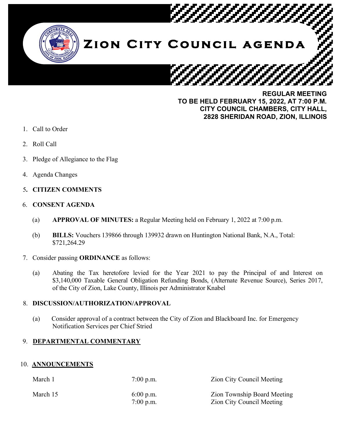

**TO BE HELD FEBRUARY 15, 2022, AT 7:00 P.M. CITY COUNCIL CHAMBERS, CITY HALL, 2828 SHERIDAN ROAD, ZION, ILLINOIS**

- 1. Call to Order
- 2. Roll Call
- 3. Pledge of Allegiance to the Flag
- 4. Agenda Changes

# 5**. CITIZEN COMMENTS**

### 6. **CONSENT AGENDA**

- (a) **APPROVAL OF MINUTES:** a Regular Meeting held on February 1, 2022 at 7:00 p.m.
- (b) **BILLS:** Vouchers 139866 through 139932 drawn on Huntington National Bank, N.A., Total: \$721,264.29
- 7. Consider passing **ORDINANCE** as follows:
	- (a) Abating the Tax heretofore levied for the Year 2021 to pay the Principal of and Interest on \$3,140,000 Taxable General Obligation Refunding Bonds, (Alternate Revenue Source), Series 2017, of the City of Zion, Lake County, Illinois per Administrator Knabel

## 8. **DISCUSSION/AUTHORIZATION/APPROVAL**

(a) Consider approval of a contract between the City of Zion and Blackboard Inc. for Emergency Notification Services per Chief Stried

## 9. **DEPARTMENTAL COMMENTARY**

## 10. **ANNOUNCEMENTS**

| March 1  | $7:00$ p.m.                | <b>Zion City Council Meeting</b>                                       |
|----------|----------------------------|------------------------------------------------------------------------|
| March 15 | $6:00$ p.m.<br>$7:00$ p.m. | <b>Zion Township Board Meeting</b><br><b>Zion City Council Meeting</b> |